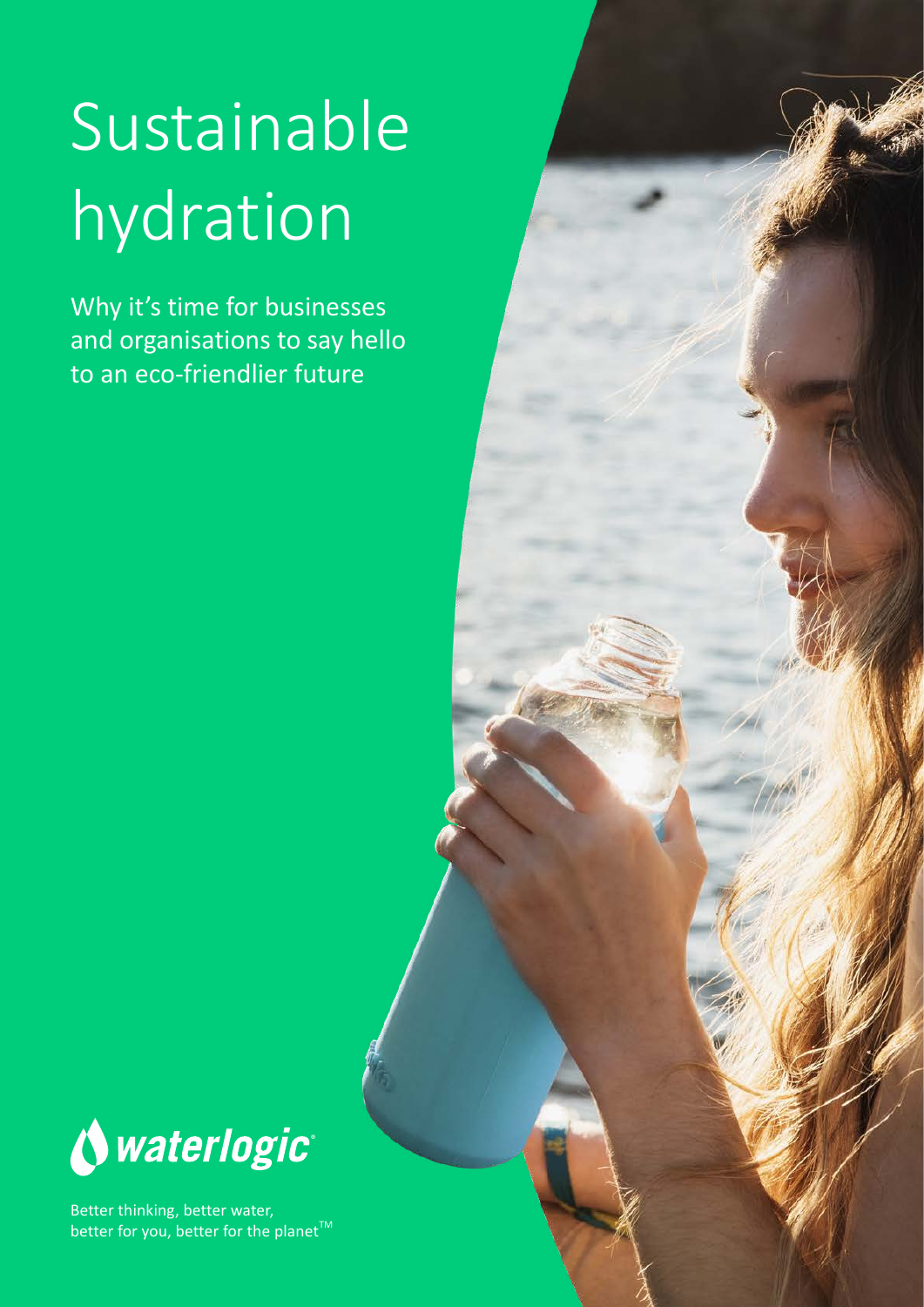# Sustainable hydration

Why it's time for businesses and organisations to say hello to an eco-friendlier future



Better thinking, better water, better for you, better for the planet<sup>™</sup>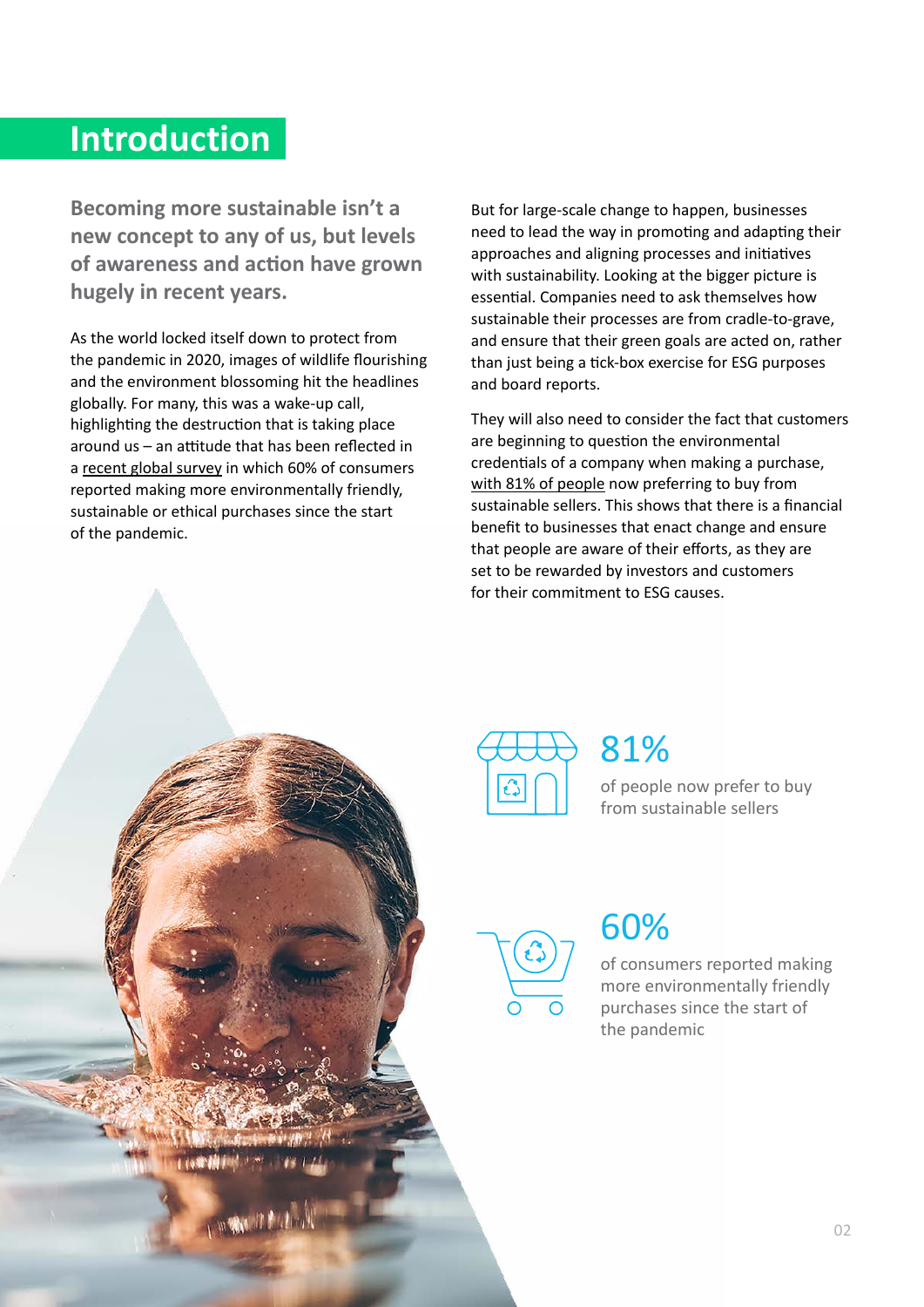#### **Introduction**

**Becoming more sustainable isn't a new concept to any of us, but levels of awareness and action have grown hugely in recent years.** 

As the world locked itself down to protect from the pandemic in 2020, images of wildlife flourishing and the environment blossoming hit the headlines globally. For many, this was a wake-up call, highlighting the destruction that is taking place around us – an attitude that has been reflected in a [recent global survey](https://www.bbc.co.uk/news/business-55630144#:~:text=Take%20a%202020%20global%20survey,the%20start%20of%20the%20pandemic.) in which 60% of consumers reported making more environmentally friendly, sustainable or ethical purchases since the start of the pandemic.

But for large-scale change to happen, businesses need to lead the way in promoting and adapting their approaches and aligning processes and initiatives with sustainability. Looking at the bigger picture is essential. Companies need to ask themselves how sustainable their processes are from cradle-to-grave, and ensure that their green goals are acted on, rather than just being a tick-box exercise for ESG purposes and board reports.

They will also need to consider the fact that customers are beginning to question the environmental credentials of a company when making a purchase, [with 81% of people](https://www.recyclinglives.com/news/general/report-reveals-81-people-prefer-buy-sustainable-sellers) now preferring to buy from sustainable sellers. This shows that there is a financial benefit to businesses that enact change and ensure that people are aware of their efforts, as they are set to be rewarded by investors and customers for their commitment to ESG causes.



#### 81%

of people now prefer to buy from sustainable sellers



#### 60%

of consumers reported making more environmentally friendly purchases since the start of the pandemic

**Contact Management**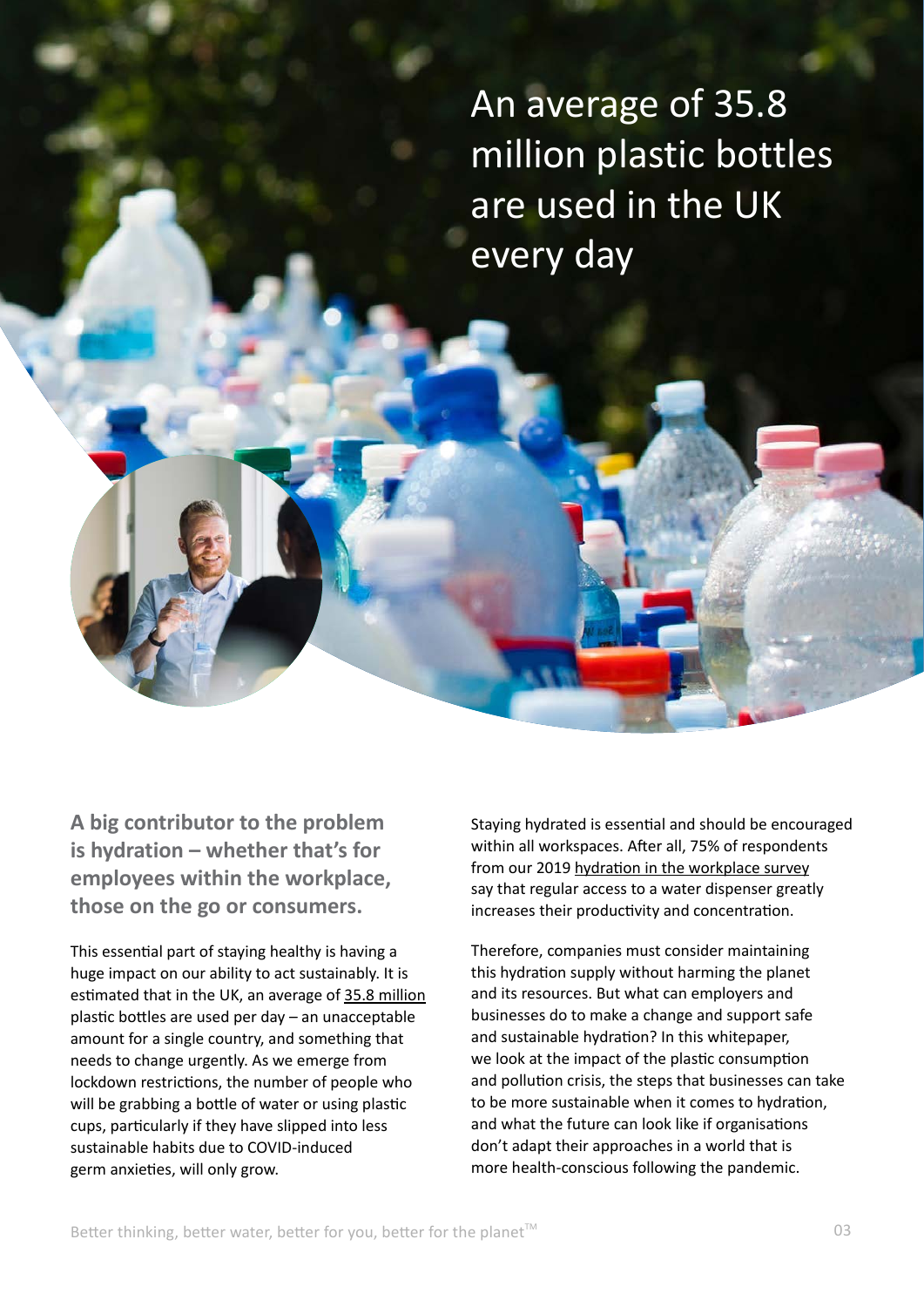An average of 35.8 million plastic bottles are used in the UK every day

**A big contributor to the problem is hydration – whether that's for employees within the workplace, those on the go or consumers.**

This essential part of staying healthy is having a huge impact on our ability to act sustainably. It is estimated that in the UK, an average of [35.8 million](https://www.recyclenow.com/what-to-do-with/plastic-bottles-0) plastic bottles are used per day – an unacceptable amount for a single country, and something that needs to change urgently. As we emerge from lockdown restrictions, the number of people who will be grabbing a bottle of water or using plastic cups, particularly if they have slipped into less sustainable habits due to COVID-induced germ anxieties, will only grow.

Staying hydrated is essential and should be encouraged within all workspaces. After all, 75% of respondents from our 2019 [hydration in the workplace survey](https://www.waterlogic.com/en-gb/uploads/resources/hydration-report.pdf) say that regular access to a water dispenser greatly increases their productivity and concentration.

Therefore, companies must consider maintaining this hydration supply without harming the planet and its resources. But what can employers and businesses do to make a change and support safe and sustainable hydration? In this whitepaper, we look at the impact of the plastic consumption and pollution crisis, the steps that businesses can take to be more sustainable when it comes to hydration, and what the future can look like if organisations don't adapt their approaches in a world that is more health-conscious following the pandemic.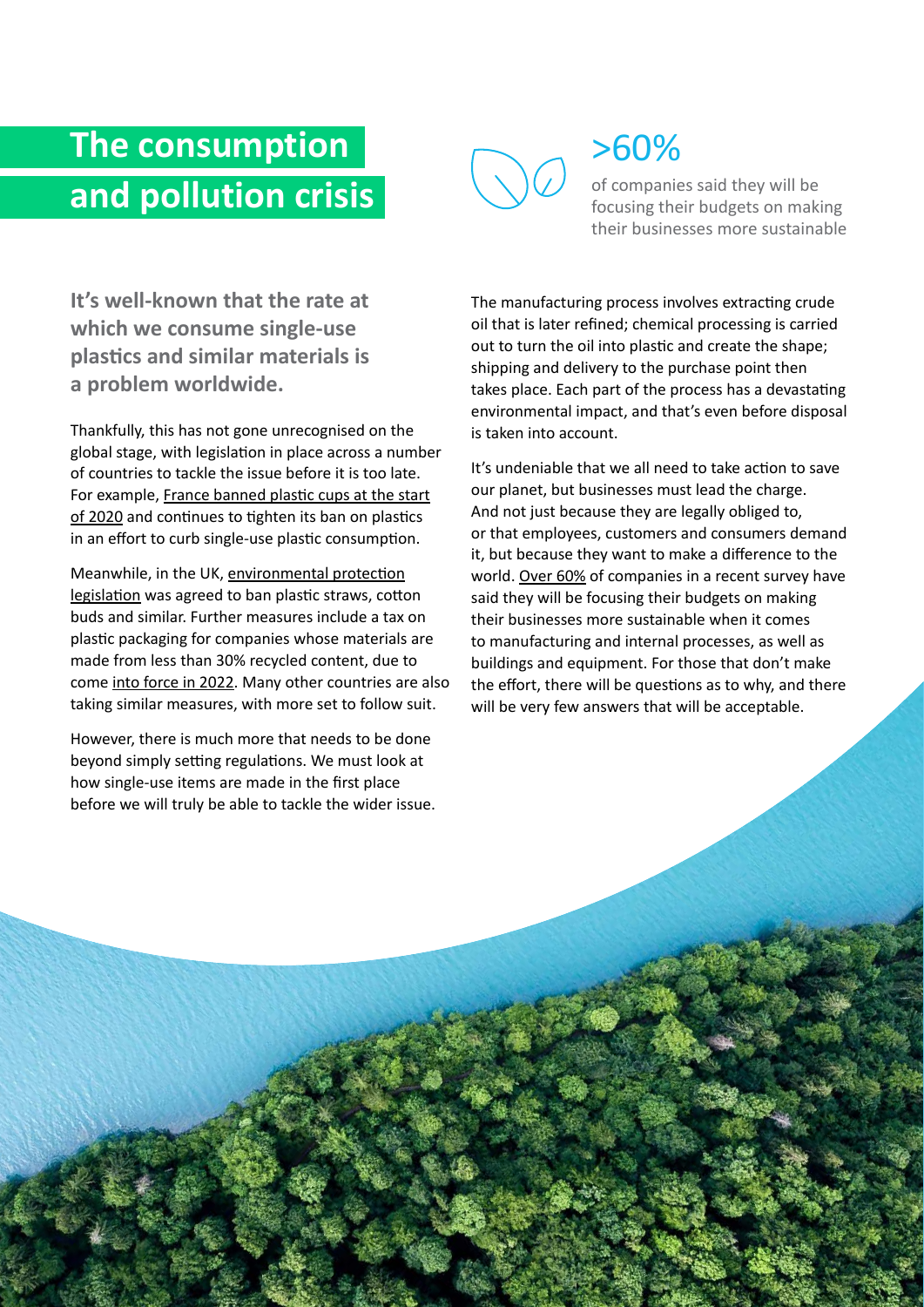## **The consumption and pollution crisis**



### >60%

of companies said they will be focusing their budgets on making their businesses more sustainable

**It's well-known that the rate at which we consume single-use plastics and similar materials is a problem worldwide.** 

Thankfully, this has not gone unrecognised on the global stage, with legislation in place across a number of countries to tackle the issue before it is too late. For example, [France banned plastic cups at the start](https://www.connexionfrance.com/Practical/Environment/France-tightens-plastics-ban) [of 2020](https://www.connexionfrance.com/Practical/Environment/France-tightens-plastics-ban) and continues to tighten its ban on plastics in an effort to curb single-use plastic consumption.

Meanwhile, in the UK, [environmental protection](https://www.gov.uk/government/news/start-of-ban-on-plastic-straws-stirrers-and-cotton-buds) [legislation](https://www.gov.uk/government/news/start-of-ban-on-plastic-straws-stirrers-and-cotton-buds) was agreed to ban plastic straws, cotton buds and similar. Further measures include a tax on plastic packaging for companies whose materials are made from less than 30% recycled content, due to come [into force in 2022.](https://www.circularonline.co.uk/news/uk-government-reaffirms-global-fight-against-single-use-plastics/) Many other countries are also taking similar measures, with more set to follow suit.

However, there is much more that needs to be done beyond simply setting regulations. We must look at how single-use items are made in the first place before we will truly be able to tackle the wider issue.

Better thinking, better water, better for you, better for the planetTM

The manufacturing process involves extracting crude oil that is later refined; chemical processing is carried out to turn the oil into plastic and create the shape; shipping and delivery to the purchase point then takes place. Each part of the process has a devastating environmental impact, and that's even before disposal is taken into account.

It's undeniable that we all need to take action to save our planet, but businesses must lead the charge. And not just because they are legally obliged to, or that employees, customers and consumers demand it, but because they want to make a difference to the world. [Over 60%](https://www.telegraph.co.uk/business/ready-and-enabled/sustainability/increasing-spend/) of companies in a recent survey have said they will be focusing their budgets on making their businesses more sustainable when it comes to manufacturing and internal processes, as well as buildings and equipment. For those that don't make the effort, there will be questions as to why, and there will be very few answers that will be acceptable.

ر<br>مولا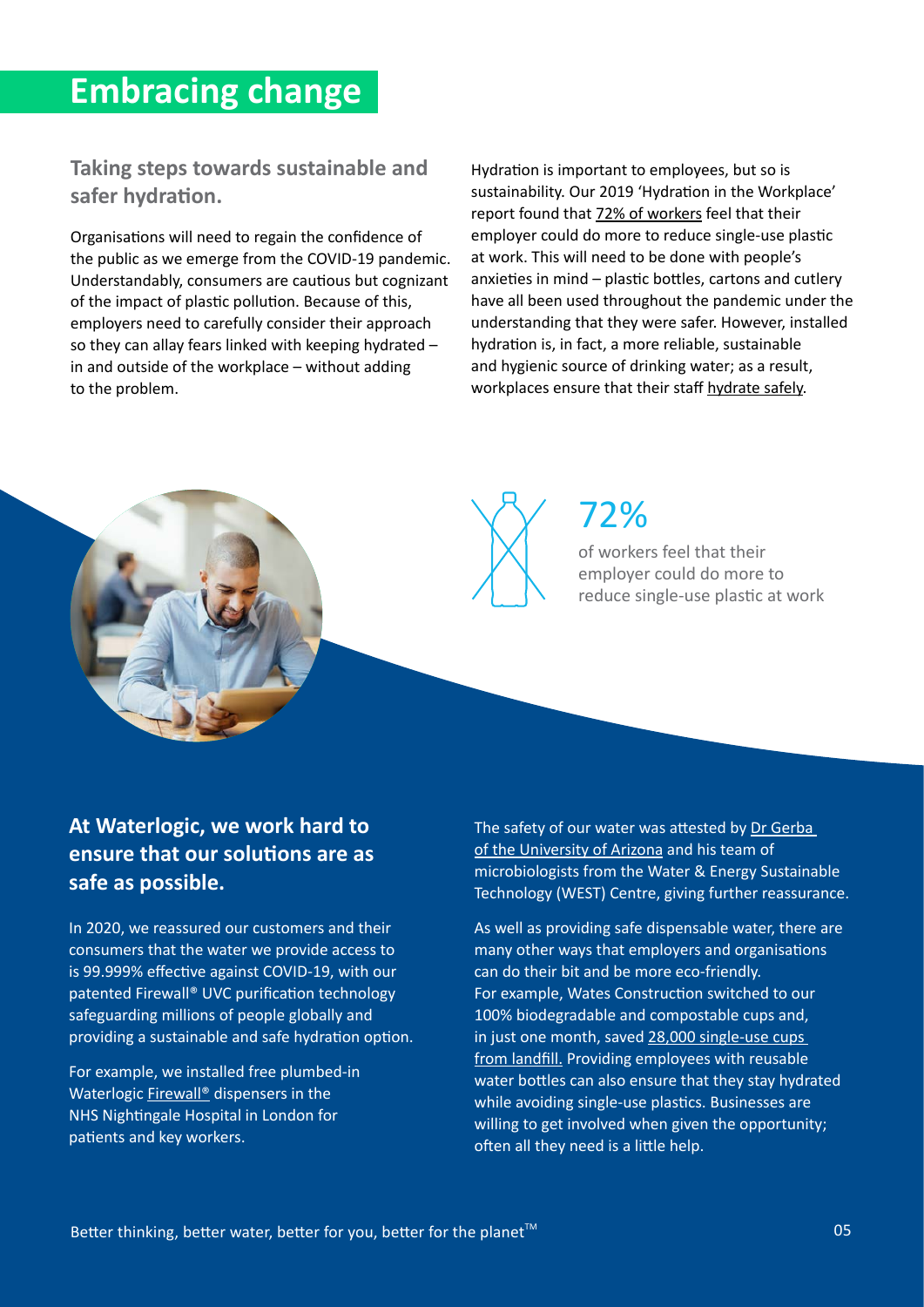#### **Embracing change**

**Taking steps towards sustainable and safer hydration.**

Organisations will need to regain the confidence of the public as we emerge from the COVID-19 pandemic. Understandably, consumers are cautious but cognizant of the impact of plastic pollution. Because of this, employers need to carefully consider their approach so they can allay fears linked with keeping hydrated – in and outside of the workplace – without adding to the problem.

Hydration is important to employees, but so is sustainability. Our 2019 'Hydration in the Workplace' report found that [72% of workers](https://www.waterlogic.com/en-gb/uploads/resources/hydration-report.pdf) feel that their employer could do more to reduce single-use plastic at work. This will need to be done with people's anxieties in mind – plastic bottles, cartons and cutlery have all been used throughout the pandemic under the understanding that they were safer. However, installed hydration is, in fact, a more reliable, sustainable and hygienic source of drinking water; as a result, workplaces ensure that their staff [hydrate safely](https://www.waterlogic.com/en-gb/uploads/resources/restart-white-paper.pdf.).



#### 72%

of workers feel that their employer could do more to reduce single-use plastic at work

#### **At Waterlogic, we work hard to ensure that our solutions are as safe as possible.**

In 2020, we reassured our customers and their consumers that the water we provide access to is 99.999% effective against COVID-19, with our patented Firewall® UVC purification technology safeguarding millions of people globally and providing a sustainable and safe hydration option.

For example, we installed free plumbed-in Waterlogic [Firewall®](https://www.waterlogic.com/technology/uv-purification/firewall/) dispensers in the NHS Nightingale Hospital in London for patients and key workers.

The safety of our water was attested by [Dr Gerba](https://www.waterlogic.com/technology/covid-secure/)  [of the University of Arizona](https://www.waterlogic.com/technology/covid-secure/) and his team of microbiologists from the Water & Energy Sustainable Technology (WEST) Centre, giving further reassurance.

As well as providing safe dispensable water, there are many other ways that employers and organisations can do their bit and be more eco-friendly. For example, Wates Construction switched to our 100% biodegradable and compostable cups and, in just one month, saved 28,000 single-use cups [from landfill.](https://www.waterlogic.com/en-gb/uploads/resources/esg-report.pdf) Providing employees with reusable water bottles can also ensure that they stay hydrated while avoiding single-use plastics. Businesses are willing to get involved when given the opportunity; often all they need is a little help.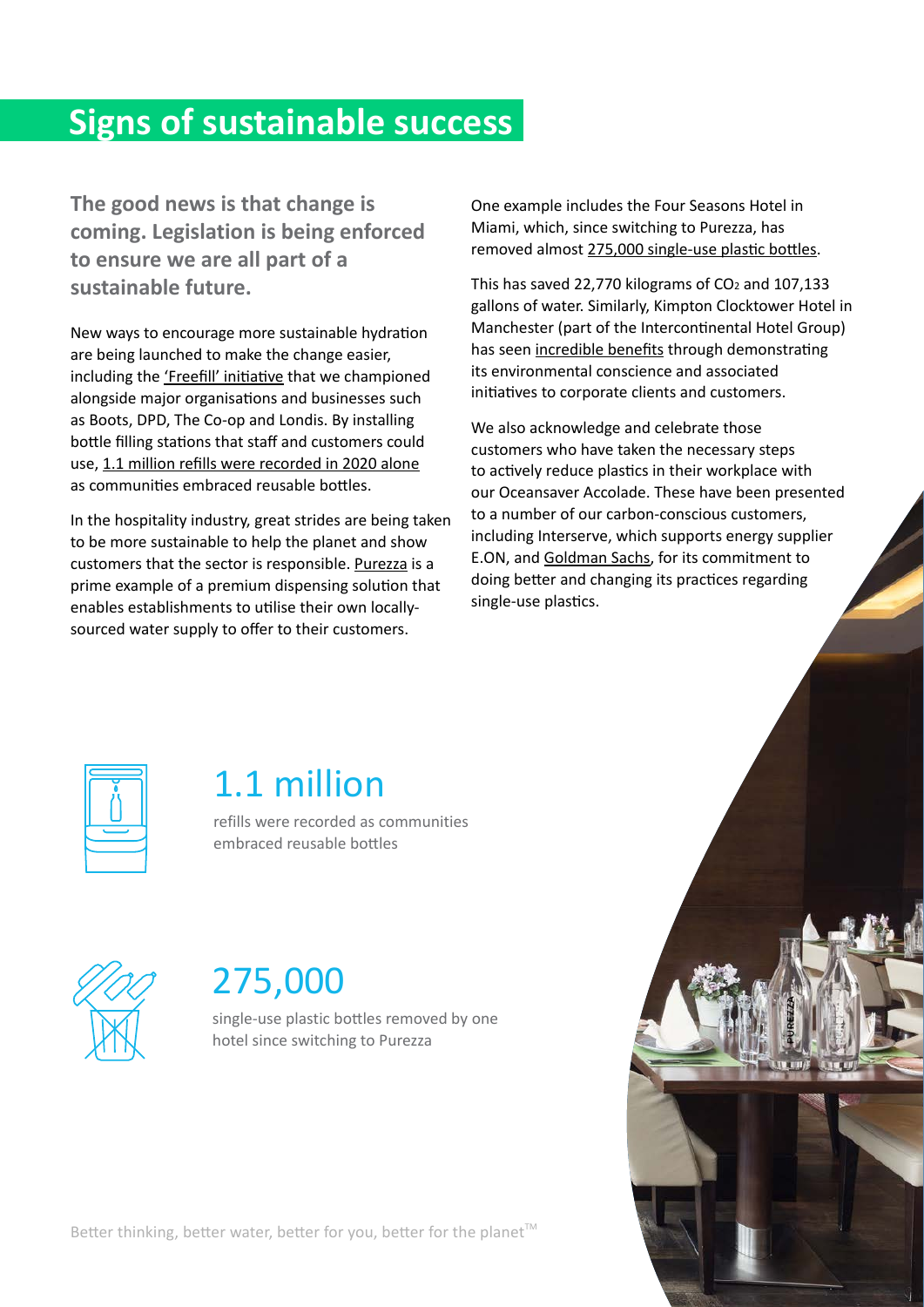#### **Signs of sustainable success**

**The good news is that change is coming. Legislation is being enforced to ensure we are all part of a sustainable future.**

New ways to encourage more sustainable hydration are being launched to make the change easier, including the ['Freefill' initiative](https://freefill.co.uk) that we championed alongside major organisations and businesses such as Boots, DPD, The Co-op and Londis. By installing bottle filling stations that staff and customers could use, [1.1 million refills were recorded in 2020 alone](https://www.waterlogic.com/en-gb/uploads/resources/greener-thinking-guide.pdf) as communities embraced reusable bottles.

In the hospitality industry, great strides are being taken to be more sustainable to help the planet and show customers that the sector is responsible. [Purezza](https://www.purezza-water.co.uk) is a prime example of a premium dispensing solution that enables establishments to utilise their own locallysourced water supply to offer to their customers.

One example includes the Four Seasons Hotel in Miami, which, since switching to Purezza, has removed almost [275,000 single-use plastic bottles](https://www.waterlogic.com/en-gb/uploads/resources/greener-thinking-guide.pdf).

This has saved 22,770 kilograms of CO<sub>2</sub> and 107,133 gallons of water. Similarly, Kimpton Clocktower Hotel in Manchester (part of the Intercontinental Hotel Group) has seen [incredible benefits](https://www.waterlogic.com/en-gb/uploads/resources/esg-report.pdf) through demonstrating its environmental conscience and associated initiatives to corporate clients and customers.

We also acknowledge and celebrate those customers who have taken the necessary steps to actively reduce plastics in their workplace with our Oceansaver Accolade. These have been presented to a number of our carbon-conscious customers, including Interserve, which supports energy supplier E.ON, and [Goldman Sachs](https://www.waterlogic.com/company/news/oceansaver-accolade-to-goldman-sachs/), for its commitment to doing better and changing its practices regarding single-use plastics.



#### 1.1 million

refills were recorded as communities embraced reusable bottles



#### 275,000

single-use plastic bottles removed by one hotel since switching to Purezza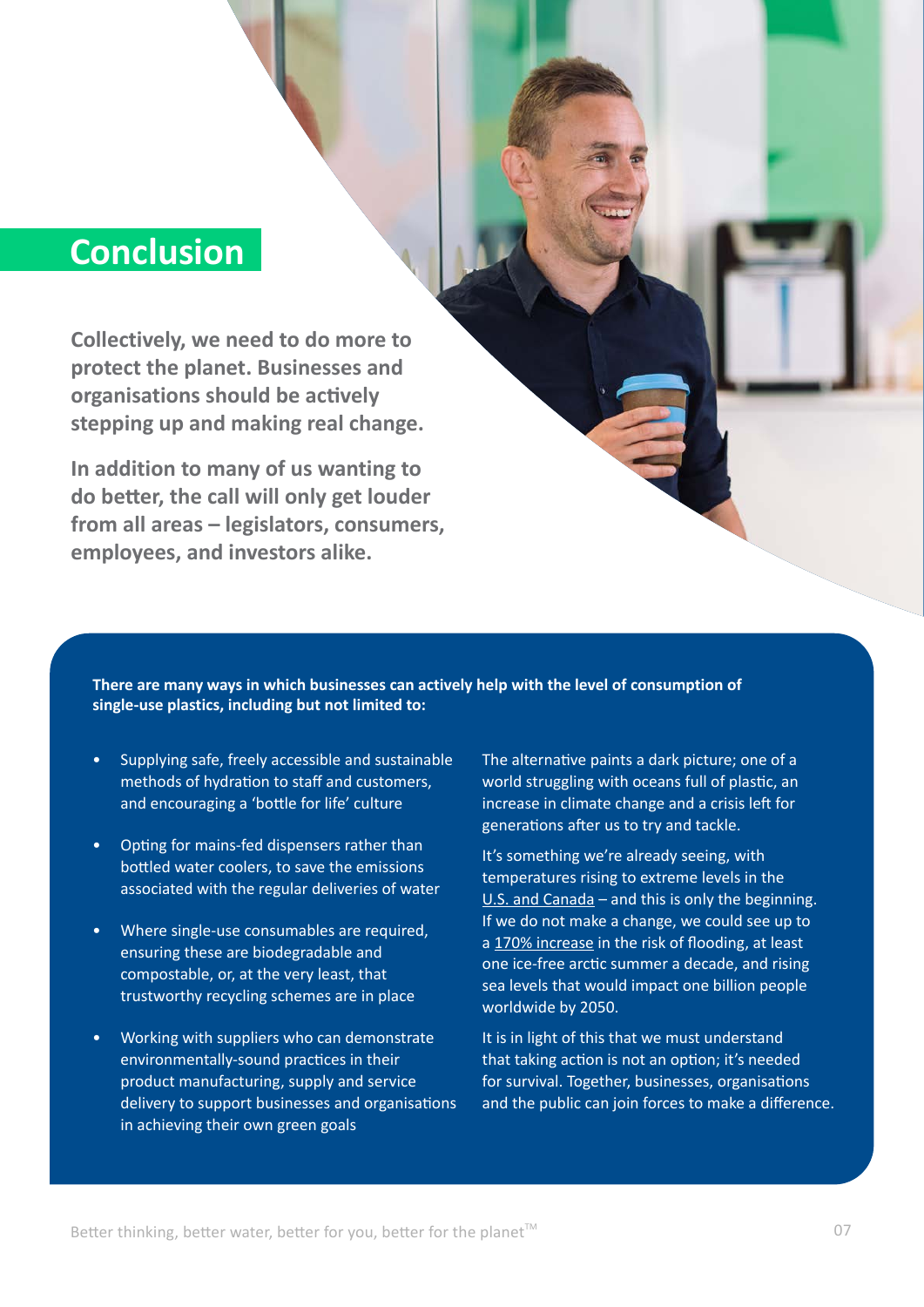#### **Conclusion**

**Collectively, we need to do more to protect the planet. Businesses and organisations should be actively stepping up and making real change.** 

**In addition to many of us wanting to do better, the call will only get louder from all areas – legislators, consumers, employees, and investors alike.** 

**There are many ways in which businesses can actively help with the level of consumption of single-use plastics, including but not limited to:**

- Supplying safe, freely accessible and sustainable methods of hydration to staff and customers, and encouraging a 'bottle for life' culture
- Opting for mains-fed dispensers rather than bottled water coolers, to save the emissions associated with the regular deliveries of water
- Where single-use consumables are required, ensuring these are biodegradable and compostable, or, at the very least, that trustworthy recycling schemes are in place
- Working with suppliers who can demonstrate environmentally-sound practices in their product manufacturing, supply and service delivery to support businesses and organisations in achieving their own green goals

The alternative paints a dark picture; one of a world struggling with oceans full of plastic, an increase in climate change and a crisis left for generations after us to try and tackle.

It's something we're already seeing, with temperatures rising to extreme levels in the [U.S. and Canada](https://www.bbc.co.uk/news/world-us-canada-57654133) – and this is only the beginning. If we do not make a change, we could see up to a [170% increase](https://www.worldwildlife.org/stories/our-planet-is-warming-here-s-what-s-at-stake-if-we-don-t-act-now) in the risk of flooding, at least one ice-free arctic summer a decade, and rising sea levels that would impact one billion people worldwide by 2050.

It is in light of this that we must understand that taking action is not an option; it's needed for survival. Together, businesses, organisations and the public can join forces to make a difference.